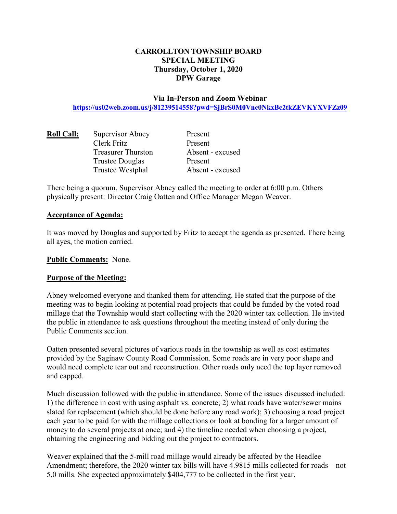# **CARROLLTON TOWNSHIP BOARD SPECIAL MEETING Thursday, October 1, 2020 DPW Garage**

## **Via In-Person and Zoom Webinar https://us02web.zoom.us/j/81239514558?pwd=SjBrS0M0Vnc0NkxBc2tkZEVKYXVFZz09**

| <b>Roll Call:</b> | Supervisor Abney          | Present          |
|-------------------|---------------------------|------------------|
|                   | Clerk Fritz               | Present          |
|                   | <b>Treasurer Thurston</b> | Absent - excused |
|                   | <b>Trustee Douglas</b>    | Present          |
|                   | Trustee Westphal          | Absent - excused |

There being a quorum, Supervisor Abney called the meeting to order at 6:00 p.m. Others physically present: Director Craig Oatten and Office Manager Megan Weaver.

#### **Acceptance of Agenda:**

It was moved by Douglas and supported by Fritz to accept the agenda as presented. There being all ayes, the motion carried.

**Public Comments:** None.

## **Purpose of the Meeting:**

Abney welcomed everyone and thanked them for attending. He stated that the purpose of the meeting was to begin looking at potential road projects that could be funded by the voted road millage that the Township would start collecting with the 2020 winter tax collection. He invited the public in attendance to ask questions throughout the meeting instead of only during the Public Comments section.

Oatten presented several pictures of various roads in the township as well as cost estimates provided by the Saginaw County Road Commission. Some roads are in very poor shape and would need complete tear out and reconstruction. Other roads only need the top layer removed and capped.

Much discussion followed with the public in attendance. Some of the issues discussed included: 1) the difference in cost with using asphalt vs. concrete; 2) what roads have water/sewer mains slated for replacement (which should be done before any road work); 3) choosing a road project each year to be paid for with the millage collections or look at bonding for a larger amount of money to do several projects at once; and 4) the timeline needed when choosing a project, obtaining the engineering and bidding out the project to contractors.

Weaver explained that the 5-mill road millage would already be affected by the Headlee Amendment; therefore, the 2020 winter tax bills will have 4.9815 mills collected for roads – not 5.0 mills. She expected approximately \$404,777 to be collected in the first year.